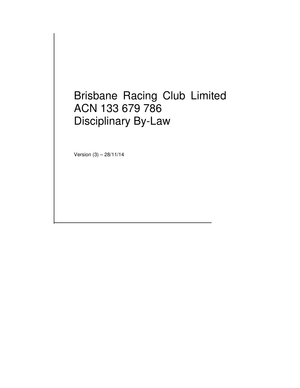# Brisbane Racing Club Limited ACN 133 679 786 Disciplinary By-Law

Version (3) – 28/11/14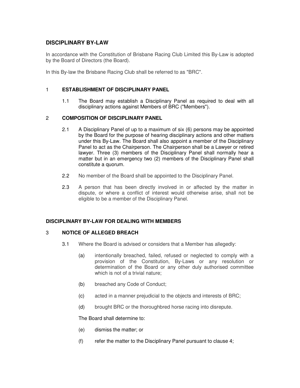# **DISCIPLINARY BY-LAW**

In accordance with the Constitution of Brisbane Racing Club Limited this By-Law is adopted by the Board of Directors (the Board).

In this By-law the Brisbane Racing Club shall be referred to as "BRC".

#### 1 **ESTABLISHMENT OF DISCIPLINARY PANEL**

1.1 The Board may establish a Disciplinary Panel as required to deal with all disciplinary actions against Members of BRC ("Members").

## 2 **COMPOSITION OF DISCIPLINARY PANEL**

- 2.1 A Disciplinary Panel of up to a maximum of six (6) persons may be appointed by the Board for the purpose of hearing disciplinary actions and other matters under this By-Law. The Board shall also appoint a member of the Disciplinary Panel to act as the Chairperson. The Chairperson shall be a Lawyer or retired lawyer. Three (3) members of the Disciplinary Panel shall normally hear a matter but in an emergency two (2) members of the Disciplinary Panel shall constitute a quorum.
- 2.2 No member of the Board shall be appointed to the Disciplinary Panel.
- 2.3 A person that has been directly involved in or affected by the matter in dispute, or where a conflict of interest would otherwise arise, shall not be eligible to be a member of the Disciplinary Panel.

# **DISCIPLINARY BY-LAW FOR DEALING WITH MEMBERS**

## 3 **NOTICE OF ALLEGED BREACH**

- 3.1 Where the Board is advised or considers that a Member has allegedly:
	- (a) intentionally breached, failed, refused or neglected to comply with a provision of the Constitution, By-Laws or any resolution or determination of the Board or any other duly authorised committee which is not of a trivial nature;
	- (b) breached any Code of Conduct;
	- (c) acted in a manner prejudicial to the objects and interests of BRC;
	- (d) brought BRC or the thoroughbred horse racing into disrepute.

The Board shall determine to:

- (e) dismiss the matter; or
- $(f)$  refer the matter to the Disciplinary Panel pursuant to clause 4;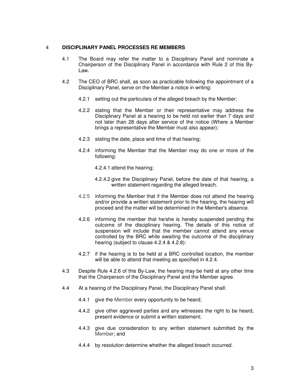#### 4 **DISCIPLINARY PANEL PROCESSES RE MEMBERS**

- 4.1 The Board may refer the matter to a Disciplinary Panel and nominate a Chairperson of the Disciplinary Panel in accordance with Rule 2 of this By-Law.
- 4.2 The CEO of BRC shall, as soon as practicable following the appointment of a Disciplinary Panel, serve on the Member a notice in writing:
	- 4.2.1 setting out the particulars of the alleged breach by the Member;
	- 4.2.2 stating that the Member or their representative may address the Disciplinary Panel at a hearing to be held not earlier than 7 days and not later than 28 days after service of the notice (Where a Member brings a representative the Member must also appear);
	- 4.2.3 stating the date, place and time of that hearing;
	- 4.2.4 informing the Member that the Member may do one or more of the following:
		- 4.2.4.1 attend the hearing;
		- 4.2.4.2 give the Disciplinary Panel, before the date of that hearing, a written statement regarding the alleged breach.
	- 4.2.5 informing the Member that if the Member does not attend the hearing and/or provide a written statement prior to the hearing, the hearing will proceed and the matter will be determined in the Member's absence.
	- 4.2.6 informing the member that he/she is hereby suspended pending the outcome of the disciplinary hearing. The details of this notice of suspension will include that the member cannot attend any venue controlled by the BRC while awaiting the outcome of the disciplinary hearing (subject to clause 4.2.4 & 4.2.8):
	- 4.2.7 if the hearing is to be held at a BRC controlled location, the member will be able to attend that meeting as specified in 4.2.4.
- 4.3 Despite Rule 4.2.6 of this By-Law, the hearing may be held at any other time that the Chairperson of the Disciplinary Panel and the Member agree.
- 4.4 At a hearing of the Disciplinary Panel, the Disciplinary Panel shall:
	- 4.4.1 give the Member every opportunity to be heard;
	- 4.4.2 give other aggrieved parties and any witnesses the right to be heard, present evidence or submit a written statement;
	- 4.4.3 give due consideration to any written statement submitted by the Member; and
	- 4.4.4 by resolution determine whether the alleged breach occurred.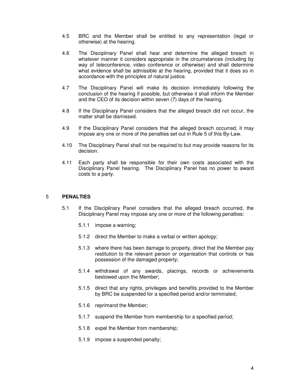- 4.5 BRC and the Member shall be entitled to any representation (legal or otherwise) at the hearing.
- 4.6 The Disciplinary Panel shall hear and determine the alleged breach in whatever manner it considers appropriate in the circumstances (including by way of teleconference, video conference or otherwise) and shall determine what evidence shall be admissible at the hearing, provided that it does so in accordance with the principles of natural justice.
- 4.7 The Disciplinary Panel will make its decision immediately following the conclusion of the hearing if possible, but otherwise it shall inform the Member and the CEO of its decision within seven (7) days of the hearing.
- 4.8 If the Disciplinary Panel considers that the alleged breach did not occur, the matter shall be dismissed.
- 4.9 If the Disciplinary Panel considers that the alleged breach occurred, it may impose any one or more of the penalties set out in Rule 5 of this By-Law.
- 4.10 The Disciplinary Panel shall not be required to but may provide reasons for its decision.
- 4.11 Each party shall be responsible for their own costs associated with the Disciplinary Panel hearing. The Disciplinary Panel has no power to award costs to a party.

#### 5 **PENALTIES**

- 5.1 If the Disciplinary Panel considers that the alleged breach occurred, the Disciplinary Panel may impose any one or more of the following penalties:
	- 5.1.1 impose a warning;
	- 5.1.2 direct the Member to make a verbal or written apology;
	- 5.1.3 where there has been damage to property, direct that the Member pay restitution to the relevant person or organisation that controls or has possession of the damaged property;
	- 5.1.4 withdrawal of any awards, placings, records or achievements bestowed upon the Member;
	- 5.1.5 direct that any rights, privileges and benefits provided to the Member by BRC be suspended for a specified period and/or terminated;
	- 5.1.6 reprimand the Member;
	- 5.1.7 suspend the Member from membership for a specified period;
	- 5.1.8 expel the Member from membership;
	- 5.1.9 impose a suspended penalty;